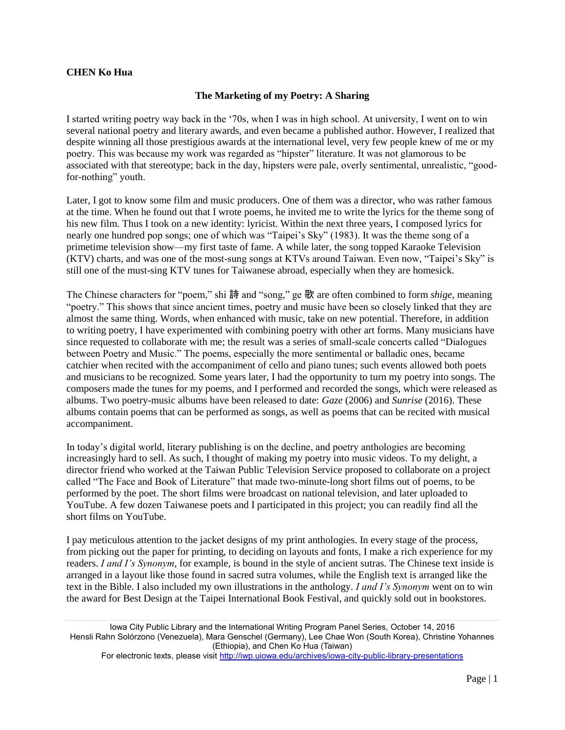## **CHEN Ko Hua**

## **The Marketing of my Poetry: A Sharing**

I started writing poetry way back in the '70s, when I was in high school. At university, I went on to win several national poetry and literary awards, and even became a published author. However, I realized that despite winning all those prestigious awards at the international level, very few people knew of me or my poetry. This was because my work was regarded as "hipster" literature. It was not glamorous to be associated with that stereotype; back in the day, hipsters were pale, overly sentimental, unrealistic, "goodfor-nothing" youth.

Later, I got to know some film and music producers. One of them was a director, who was rather famous at the time. When he found out that I wrote poems, he invited me to write the lyrics for the theme song of his new film. Thus I took on a new identity: lyricist. Within the next three years, I composed lyrics for nearly one hundred pop songs; one of which was "Taipei's Sky" (1983). It was the theme song of a primetime television show—my first taste of fame. A while later, the song topped Karaoke Television (KTV) charts, and was one of the most-sung songs at KTVs around Taiwan. Even now, "Taipei's Sky" is still one of the must-sing KTV tunes for Taiwanese abroad, especially when they are homesick.

The Chinese characters for "poem," shi 詩 and "song," ge 歌 are often combined to form *shige*, meaning "poetry." This shows that since ancient times, poetry and music have been so closely linked that they are almost the same thing. Words, when enhanced with music, take on new potential. Therefore, in addition to writing poetry, I have experimented with combining poetry with other art forms. Many musicians have since requested to collaborate with me; the result was a series of small-scale concerts called "Dialogues between Poetry and Music." The poems, especially the more sentimental or balladic ones, became catchier when recited with the accompaniment of cello and piano tunes; such events allowed both poets and musicians to be recognized. Some years later, I had the opportunity to turn my poetry into songs. The composers made the tunes for my poems, and I performed and recorded the songs, which were released as albums. Two poetry-music albums have been released to date: *Gaze* (2006) and *Sunrise* (2016). These albums contain poems that can be performed as songs, as well as poems that can be recited with musical accompaniment.

In today's digital world, literary publishing is on the decline, and poetry anthologies are becoming increasingly hard to sell. As such, I thought of making my poetry into music videos. To my delight, a director friend who worked at the Taiwan Public Television Service proposed to collaborate on a project called "The Face and Book of Literature" that made two-minute-long short films out of poems, to be performed by the poet. The short films were broadcast on national television, and later uploaded to YouTube. A few dozen Taiwanese poets and I participated in this project; you can readily find all the short films on YouTube.

I pay meticulous attention to the jacket designs of my print anthologies. In every stage of the process, from picking out the paper for printing, to deciding on layouts and fonts, I make a rich experience for my readers. *I and I's Synonym*, for example, is bound in the style of ancient sutras. The Chinese text inside is arranged in a layout like those found in sacred sutra volumes, while the English text is arranged like the text in the Bible. I also included my own illustrations in the anthology. *I and I's Synonym* went on to win the award for Best Design at the Taipei International Book Festival, and quickly sold out in bookstores.

Iowa City Public Library and the International Writing Program Panel Series, October 14, 2016 Hensli Rahn Solórzono (Venezuela), Mara Genschel (Germany), Lee Chae Won (South Korea), Christine Yohannes (Ethiopia), and Chen Ko Hua (Taiwan)

For electronic texts, please visit<http://iwp.uiowa.edu/archives/iowa-city-public-library-presentations>